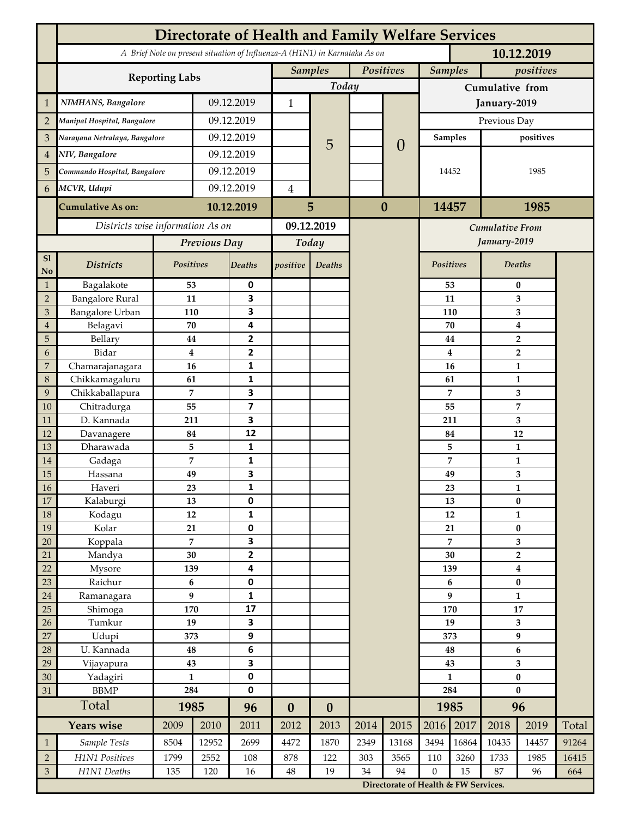|                             | <b>Directorate of Health and Family Welfare Services</b>                                 |                     |            |                         |                  |                  |           |                                      |                    |          |                                           |                                             |       |  |
|-----------------------------|------------------------------------------------------------------------------------------|---------------------|------------|-------------------------|------------------|------------------|-----------|--------------------------------------|--------------------|----------|-------------------------------------------|---------------------------------------------|-------|--|
|                             | A Brief Note on present situation of Influenza-A (H1N1) in Karnataka As on<br>10.12.2019 |                     |            |                         |                  |                  |           |                                      |                    |          |                                           |                                             |       |  |
|                             |                                                                                          |                     |            |                         | <b>Samples</b>   |                  | Positives |                                      | <b>Samples</b>     |          | positives                                 |                                             |       |  |
|                             | <b>Reporting Labs</b>                                                                    |                     |            |                         | Today            |                  |           |                                      | Cumulative from    |          |                                           |                                             |       |  |
| $\mathbf{1}$                | NIMHANS, Bangalore                                                                       | 09.12.2019          |            | 1                       |                  |                  |           | January-2019                         |                    |          |                                           |                                             |       |  |
| $\overline{2}$              | Manipal Hospital, Bangalore                                                              |                     |            | 09.12.2019              |                  |                  |           |                                      | Previous Day       |          |                                           |                                             |       |  |
| 3                           | Narayana Netralaya, Bangalore                                                            |                     |            | 09.12.2019              |                  |                  |           | $\theta$                             | <b>Samples</b>     |          |                                           | positives                                   |       |  |
| $\overline{4}$              | NIV, Bangalore                                                                           |                     |            | 09.12.2019              |                  | 5                |           |                                      |                    |          |                                           |                                             |       |  |
| 5                           | Commando Hospital, Bangalore                                                             |                     | 09.12.2019 |                         |                  |                  |           |                                      | 14452              |          | 1985                                      |                                             |       |  |
| 6                           | MCVR, Udupi                                                                              |                     | 09.12.2019 |                         | $\overline{4}$   |                  |           |                                      |                    |          |                                           |                                             |       |  |
|                             |                                                                                          |                     |            |                         |                  |                  | $\bf{0}$  |                                      |                    |          |                                           |                                             |       |  |
|                             | <b>Cumulative As on:</b>                                                                 | 10.12.2019          |            | 5                       |                  |                  |           | 14457                                |                    | 1985     |                                           |                                             |       |  |
|                             | Districts wise information As on                                                         |                     |            | 09.12.2019              |                  |                  |           | <b>Cumulative From</b>               |                    |          |                                           |                                             |       |  |
|                             |                                                                                          | Previous Day        |            | Today                   |                  |                  |           |                                      |                    |          | January-2019                              |                                             |       |  |
| S1<br>No                    | <b>Districts</b>                                                                         | Positives           |            | Deaths                  | positive         | Deaths           |           |                                      | Positives          |          | Deaths                                    |                                             |       |  |
| $\mathbf{1}$                | Bagalakote                                                                               | 53                  |            | 0                       |                  |                  |           |                                      |                    | 53       |                                           | $\bf{0}$                                    |       |  |
| $\overline{2}$              | <b>Bangalore Rural</b>                                                                   | 11                  |            | 3                       |                  |                  |           |                                      |                    | 11       | 3                                         |                                             |       |  |
| 3                           | <b>Bangalore Urban</b>                                                                   | 110                 |            | 3                       |                  |                  |           |                                      |                    | 110      | 3                                         |                                             |       |  |
| $\overline{4}$<br>5         | Belagavi<br>Bellary                                                                      | 70<br>44            |            | 4<br>$\mathbf{2}$       |                  |                  |           |                                      |                    | 70<br>44 | $\boldsymbol{4}$                          |                                             |       |  |
| 6                           | Bidar                                                                                    | $\bf{4}$            |            | 2                       |                  |                  |           |                                      |                    | 4        | $\overline{\mathbf{2}}$<br>$\overline{2}$ |                                             |       |  |
| $\overline{7}$              | Chamarajanagara                                                                          | 16                  |            | 1                       |                  |                  |           |                                      | 16                 |          |                                           | $\mathbf{1}$                                |       |  |
| 8                           | Chikkamagaluru                                                                           | 61                  |            | 1                       |                  |                  |           |                                      |                    | 61       |                                           | 1                                           |       |  |
| 9                           | Chikkaballapura                                                                          | 7                   |            | 3                       |                  |                  |           |                                      |                    | 7        |                                           | 3                                           |       |  |
| 10                          | Chitradurga                                                                              | 55                  |            | $\overline{\mathbf{z}}$ |                  |                  |           |                                      | 55                 |          |                                           | $\overline{7}$                              |       |  |
| 11                          | D. Kannada                                                                               | 211                 |            | 3                       |                  |                  |           |                                      |                    | 211      |                                           | 3                                           |       |  |
| 12                          | Davanagere                                                                               | 84                  |            | 12                      |                  |                  |           |                                      |                    | 84       |                                           | 12                                          |       |  |
| 13<br>14                    | Dharawada                                                                                | 5<br>$\overline{7}$ |            | 1<br>1                  |                  |                  |           |                                      |                    | 5<br>7   |                                           | 1<br>$\mathbf{1}$                           |       |  |
| 15                          | Gadaga<br>Hassana                                                                        | 49                  |            | 3                       |                  |                  |           |                                      |                    | 49       |                                           | 3                                           |       |  |
| 16                          | Haveri                                                                                   | 23                  |            | 1                       |                  |                  |           |                                      |                    | 23       | 1                                         |                                             |       |  |
| 17                          | Kalaburgi                                                                                | 13                  |            | 0                       |                  |                  |           |                                      |                    | 13       | $\pmb{0}$                                 |                                             |       |  |
| 18                          | Kodagu                                                                                   | $12\,$              |            | 1                       |                  |                  |           |                                      |                    | 12       |                                           | $\mathbf{1}$                                |       |  |
| 19                          | Kolar                                                                                    | 21                  |            | 0                       |                  |                  |           |                                      |                    | 21       |                                           | $\bf{0}$                                    |       |  |
| 20                          | Koppala                                                                                  | $\overline{7}$      |            | 3                       |                  |                  |           |                                      | 7<br>30            |          |                                           | 3                                           |       |  |
| 21<br>22                    | Mandya<br>Mysore                                                                         | 30<br>139           |            | $\overline{2}$<br>4     |                  |                  |           |                                      | 139                |          |                                           | $\overline{\mathbf{2}}$<br>$\boldsymbol{4}$ |       |  |
| 23                          | Raichur                                                                                  | $\bf 6$             |            | 0                       |                  |                  |           |                                      |                    | 6        |                                           | $\pmb{0}$                                   |       |  |
| 24                          | Ramanagara                                                                               | 9                   |            | 1                       |                  |                  |           |                                      | 9                  |          | $\mathbf{1}$                              |                                             |       |  |
| 25                          | Shimoga                                                                                  | 170                 |            | 17                      |                  |                  |           |                                      |                    | 170      |                                           | 17                                          |       |  |
| 26                          | Tumkur                                                                                   | 19                  |            | 3                       |                  |                  |           |                                      | 19                 |          | 3                                         |                                             |       |  |
| 27                          | Udupi                                                                                    | 373                 |            | 9                       |                  |                  |           |                                      | 373                |          | $\boldsymbol{9}$                          |                                             |       |  |
| 28                          | U. Kannada                                                                               | 48                  |            | 6                       |                  |                  |           |                                      | 48                 |          | 6                                         |                                             |       |  |
| 29                          | Vijayapura                                                                               | 43<br>$\mathbf{1}$  |            | 3<br>0                  |                  |                  |           |                                      | 43<br>$\mathbf{1}$ |          | 3                                         |                                             |       |  |
| 30<br>31                    | Yadagiri<br><b>BBMP</b>                                                                  | 284                 |            | 0                       |                  |                  |           |                                      | 284                |          | $\pmb{0}$<br>$\bf{0}$                     |                                             |       |  |
|                             | Total                                                                                    | 1985                |            | 96                      | $\boldsymbol{0}$ | $\boldsymbol{0}$ |           |                                      | 1985               |          | 96                                        |                                             |       |  |
|                             | <b>Years wise</b>                                                                        | 2009                | 2010       | 2011                    | 2012             | 2013             | 2014      | 2015                                 | 2016               | 2017     | 2018                                      | 2019                                        | Total |  |
| $\mathbf{1}$                | Sample Tests                                                                             | 8504                | 12952      | 2699                    | 4472             | 1870             | 2349      | 13168                                | 3494               | 16864    | 10435                                     | 14457                                       | 91264 |  |
| $\sqrt{2}$                  | H1N1 Positives                                                                           | 1799                | 2552       | 108                     | 878              | 122              | 303       | 3565                                 | 110                | 3260     | 1733                                      | 1985                                        | 16415 |  |
| $\ensuremath{\mathfrak{Z}}$ | H1N1 Deaths                                                                              | 135                 | 120        | 16                      | $\bf 48$         | 19               | 34        | 94                                   | $\mathbf{0}$       | 15       | 87                                        | 96                                          | 664   |  |
|                             |                                                                                          |                     |            |                         |                  |                  |           | Directorate of Health & FW Services. |                    |          |                                           |                                             |       |  |